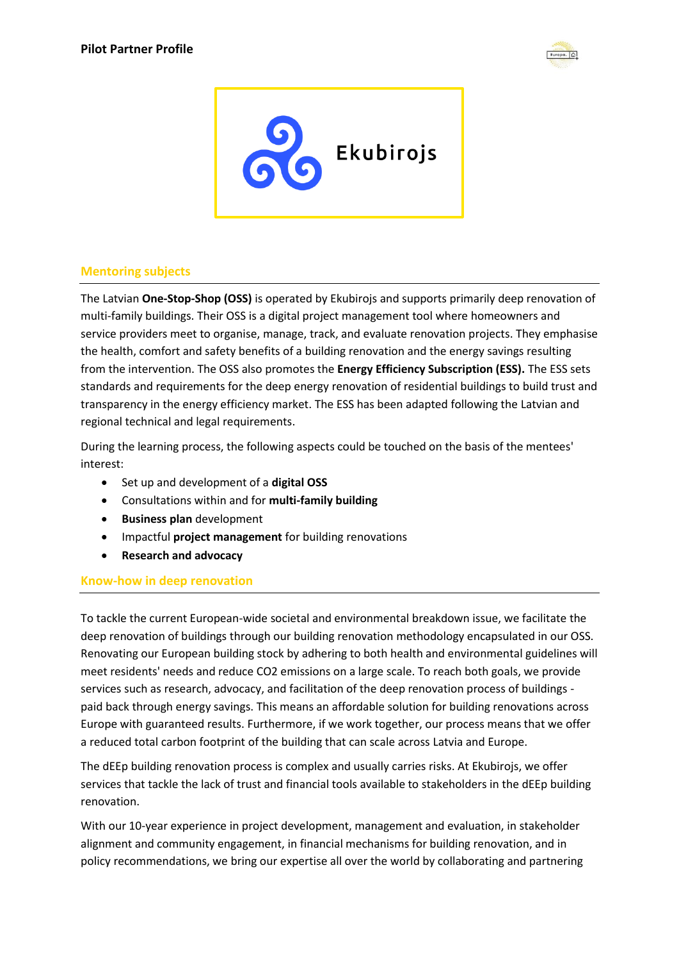



## **Mentoring subjects**

The Latvian **One-Stop-Shop (OSS)** is operated by Ekubirojs and supports primarily deep renovation of multi-family buildings. Their OSS is a digital project management tool where homeowners and service providers meet to organise, manage, track, and evaluate renovation projects. They emphasise the health, comfort and safety benefits of a building renovation and the energy savings resulting from the intervention. The OSS also promotes the **Energy Efficiency Subscription (ESS).** The ESS sets standards and requirements for the deep energy renovation of residential buildings to build trust and transparency in the energy efficiency market. The ESS has been adapted following the Latvian and regional technical and legal requirements.

During the learning process, the following aspects could be touched on the basis of the mentees' interest:

- Set up and development of a **digital OSS**
- Consultations within and for **multi-family building**
- **•** Business plan development
- Impactful **project management** for building renovations
- **Research and advocacy**

## **Know-how in deep renovation**

To tackle the current European-wide societal and environmental breakdown issue, we facilitate the deep renovation of buildings through our building renovation methodology encapsulated in our OSS. Renovating our European building stock by adhering to both health and environmental guidelines will meet residents' needs and reduce CO2 emissions on a large scale. To reach both goals, we provide services such as research, advocacy, and facilitation of the deep renovation process of buildings paid back through energy savings. This means an affordable solution for building renovations across Europe with guaranteed results. Furthermore, if we work together, our process means that we offer a reduced total carbon footprint of the building that can scale across Latvia and Europe.

The dEEp building renovation process is complex and usually carries risks. At Ekubirojs, we offer services that tackle the lack of trust and financial tools available to stakeholders in the dEEp building renovation.

With our 10-year experience in project development, management and evaluation, in stakeholder alignment and community engagement, in financial mechanisms for building renovation, and in policy recommendations, we bring our expertise all over the world by collaborating and partnering